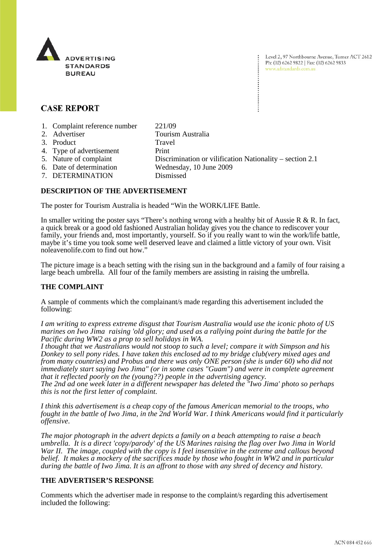

Level 2, 97 Northbourne Avenue, Turner ACT 2612 Ph: (02) 6262 9822 | Fax: (02) 6262 9833 www.adstandards.com.au

# **CASE REPORT**

- 1. Complaint reference number 221/09
- 2. Advertiser Tourism Australia 3. Product Travel 4. Type of advertisement Print 5. Nature of complaint Discrimination or vilification Nationality – section 2.1 6. Date of determination Wednesday, 10 June 2009
- 7. DETERMINATION Dismissed

## **DESCRIPTION OF THE ADVERTISEMENT**

The poster for Tourism Australia is headed "Win the WORK/LIFE Battle.

In smaller writing the poster says "There's nothing wrong with a healthy bit of Aussie R & R. In fact, a quick break or a good old fashioned Australian holiday gives you the chance to rediscover your family, your friends and, most importantly, yourself. So if you really want to win the work/life battle, maybe it's time you took some well deserved leave and claimed a little victory of your own. Visit noleavenolife.com to find out how."

The picture image is a beach setting with the rising sun in the background and a family of four raising a large beach umbrella. All four of the family members are assisting in raising the umbrella.

#### **THE COMPLAINT**

A sample of comments which the complainant/s made regarding this advertisement included the following:

*I am writing to express extreme disgust that Tourism Australia would use the iconic photo of US marines on Iwo Jima raising 'old glory; and used as a rallying point during the battle for the Pacific during WW2 as a prop to sell holidays in WA.*

*I thought that we Australians would not stoop to such a level; compare it with Simpson and his Donkey to sell pony rides. I have taken this enclosed ad to my bridge club(very mixed ages and from many countries) and Probus and there was only ONE person (she is under 60) who did not immediately start saying Iwo Jima" (or in some cases "Guam") and were in complete agreement that it reflected poorly on the (young??) people in the advertising agency.*

*The 2nd ad one week later in a different newspaper has deleted the "Iwo Jima' photo so perhaps this is not the first letter of complaint.*

*I think this advertisement is a cheap copy of the famous American memorial to the troops, who fought in the battle of Iwo Jima, in the 2nd World War. I think Americans would find it particularly offensive.*

*The major photograph in the advert depicts a family on a beach attempting to raise a beach umbrella. It is a direct 'copy/parody' of the US Marines raising the flag over Iwo Jima in World*  War II. The image, coupled with the copy is I feel insensitive in the extreme and callous beyond *belief. It makes a mockery of the sacrifices made by those who fought in WW2 and in particular during the battle of Iwo Jima. It is an affront to those with any shred of decency and history.*

#### **THE ADVERTISER'S RESPONSE**

Comments which the advertiser made in response to the complaint/s regarding this advertisement included the following: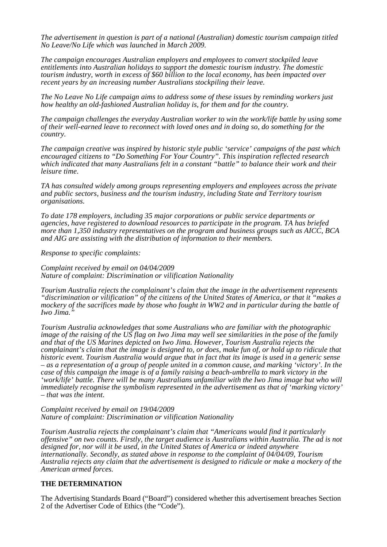*The advertisement in question is part of a national (Australian) domestic tourism campaign titled No Leave/No Life which was launched in March 2009.* 

*The campaign encourages Australian employers and employees to convert stockpiled leave entitlements into Australian holidays to support the domestic tourism industry. The domestic tourism industry, worth in excess of \$60 billion to the local economy, has been impacted over recent years by an increasing number Australians stockpiling their leave.* 

*The No Leave No Life campaign aims to address some of these issues by reminding workers just how healthy an old-fashioned Australian holiday is, for them and for the country.* 

*The campaign challenges the everyday Australian worker to win the work/life battle by using some of their well-earned leave to reconnect with loved ones and in doing so, do something for the country.* 

*The campaign creative was inspired by historic style public 'service' campaigns of the past which encouraged citizens to "Do Something For Your Country". This inspiration reflected research which indicated that many Australians felt in a constant "battle" to balance their work and their leisure time.* 

*TA has consulted widely among groups representing employers and employees across the private and public sectors, business and the tourism industry, including State and Territory tourism organisations.* 

*To date 178 employers, including 35 major corporations or public service departments or agencies, have registered to download resources to participate in the program. TA has briefed more than 1,350 industry representatives on the program and business groups such as AICC, BCA and AIG are assisting with the distribution of information to their members.* 

*Response to specific complaints:* 

*Complaint received by email on 04/04/2009 Nature of complaint: Discrimination or vilification Nationality* 

*Tourism Australia rejects the complainant's claim that the image in the advertisement represents "discrimination or vilification" of the citizens of the United States of America, or that it "makes a mockery of the sacrifices made by those who fought in WW2 and in particular during the battle of Iwo Jima."*

*Tourism Australia acknowledges that some Australians who are familiar with the photographic image of the raising of the US flag on Iwo Jima may well see similarities in the pose of the family and that of the US Marines depicted on Iwo Jima. However, Tourism Australia rejects the complainant's claim that the image is designed to, or does, make fun of, or hold up to ridicule that historic event. Tourism Australia would argue that in fact that its image is used in a generic sense – as a representation of a group of people united in a common cause, and marking 'victory'. In the case of this campaign the image is of a family raising a beach-umbrella to mark victory in the 'work/life' battle. There will be many Australians unfamiliar with the Iwo Jima image but who will immediately recognise the symbolism represented in the advertisement as that of 'marking victory' – that was the intent.* 

*Complaint received by email on 19/04/2009 Nature of complaint: Discrimination or vilification Nationality* 

*Tourism Australia rejects the complainant's claim that "Americans would find it particularly offensive" on two counts. Firstly, the target audience is Australians within Australia. The ad is not designed for, nor will it be used, in the United States of America or indeed anywhere internationally. Secondly, as stated above in response to the complaint of 04/04/09, Tourism Australia rejects any claim that the advertisement is designed to ridicule or make a mockery of the American armed forces.* 

### **THE DETERMINATION**

The Advertising Standards Board ("Board") considered whether this advertisement breaches Section 2 of the Advertiser Code of Ethics (the "Code").